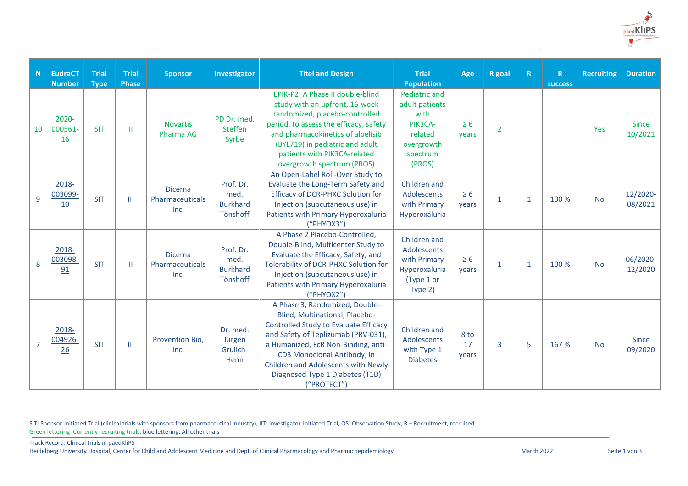

| N              | <b>EudraCT</b><br><b>Number</b> | <b>Trial</b><br><b>Type</b> | <b>Trial</b><br><b>Phase</b> | <b>Sponsor</b>                            | Investigator                                     | <b>Titel and Design</b>                                                                                                                                                                                                                                                                                         | <b>Trial</b><br><b>Population</b>                                                                 | Age                 | <b>R</b> goal  | $\mathbb{R}$ | $\mathsf{R}$<br>success | <b>Recruiting</b> | <b>Duration</b>         |
|----------------|---------------------------------|-----------------------------|------------------------------|-------------------------------------------|--------------------------------------------------|-----------------------------------------------------------------------------------------------------------------------------------------------------------------------------------------------------------------------------------------------------------------------------------------------------------------|---------------------------------------------------------------------------------------------------|---------------------|----------------|--------------|-------------------------|-------------------|-------------------------|
| 10             | 2020-<br>000561-<br><b>16</b>   | <b>SIT</b>                  | Ш                            | <b>Novartis</b><br>Pharma AG              | PD Dr. med.<br><b>Steffen</b><br>Syrbe           | EPIK-P2: A Phase II double-blind<br>study with an upfront, 16-week<br>randomized, placebo-controlled<br>period, to assess the efficacy, safety<br>and pharmacokinetics of alpelisib<br>(BYL719) in pediatric and adult<br>patients with PIK3CA-related<br>overgrowth spectrum (PROS)                            | Pediatric and<br>adult patients<br>with<br>PIK3CA-<br>related<br>overgrowth<br>spectrum<br>(PROS) | $\geq 6$<br>years   | $\overline{2}$ |              |                         | Yes               | <b>Since</b><br>10/2021 |
| 9              | 2018-<br>003099-<br>10          | <b>SIT</b>                  | Ш                            | <b>Dicerna</b><br>Pharmaceuticals<br>Inc. | Prof. Dr.<br>med.<br><b>Burkhard</b><br>Tönshoff | An Open-Label Roll-Over Study to<br>Evaluate the Long-Term Safety and<br>Efficacy of DCR-PHXC Solution for<br>Injection (subcutaneous use) in<br>Patients with Primary Hyperoxaluria<br>("PHYOX3")                                                                                                              | Children and<br>Adolescents<br>with Primary<br>Hyperoxaluria                                      | $\geq 6$<br>years   | $\mathbf{1}$   | $\mathbf{1}$ | 100 %                   | <b>No</b>         | 12/2020-<br>08/2021     |
| 8              | 2018-<br>003098-<br>91          | <b>SIT</b>                  | Ш                            | <b>Dicerna</b><br>Pharmaceuticals<br>Inc. | Prof. Dr.<br>med.<br><b>Burkhard</b><br>Tönshoff | A Phase 2 Placebo-Controlled,<br>Double-Blind, Multicenter Study to<br>Evaluate the Efficacy, Safety, and<br>Tolerability of DCR-PHXC Solution for<br>Injection (subcutaneous use) in<br>Patients with Primary Hyperoxaluria<br>("PHYOX2")                                                                      | Children and<br>Adolescents<br>with Primary<br>Hyperoxaluria<br>(Type 1 or<br>Type 2)             | $\geq 6$<br>years   | 1              | $\mathbf{1}$ | 100 %                   | <b>No</b>         | 06/2020-<br>12/2020     |
| $\overline{7}$ | 2018-<br>004926-<br>26          | <b>SIT</b>                  | Ш                            | Provention Bio,<br>Inc.                   | Dr. med.<br>Jürgen<br>Grulich-<br>Henn           | A Phase 3, Randomized, Double-<br>Blind, Multinational, Placebo-<br>Controlled Study to Evaluate Efficacy<br>and Safety of Teplizumab (PRV-031),<br>a Humanized, FcR Non-Binding, anti-<br>CD3 Monoclonal Antibody, in<br>Children and Adolescents with Newly<br>Diagnosed Type 1 Diabetes (T1D)<br>("PROTECT") | Children and<br>Adolescents<br>with Type 1<br><b>Diabetes</b>                                     | 8 to<br>17<br>years | 3              | 5            | 167%                    | <b>No</b>         | <b>Since</b><br>09/2020 |

SIT: Sponsor-Initiated Trial (clinical trials with sponsors from pharmaceutical industry), IIT: Investigator-Initiated Trial, OS: Observation Study, R – Recruitment, recruited Green lettering: Currently recruiting trials, blue lettering: All other trials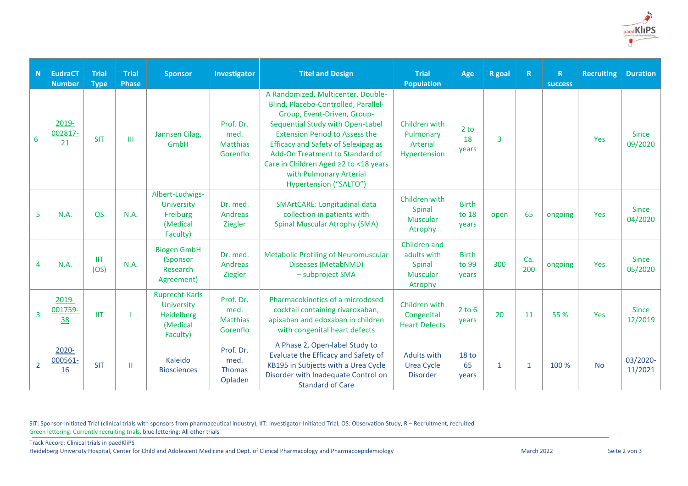

| N               | <b>EudraCT</b><br><b>Number</b> | <b>Trial</b><br><b>Type</b> | <b>Trial</b><br><b>Phase</b> | <b>Sponsor</b>                                                           | Investigator                                     | <b>Titel and Design</b>                                                                                                                                                                                                                                                                                                                                               | <b>Trial</b><br><b>Population</b>                                   | Age                             | <b>R</b> goal | $\mathbb{R}$ | R<br><b>success</b> | <b>Recruiting</b> | <b>Duration</b>         |
|-----------------|---------------------------------|-----------------------------|------------------------------|--------------------------------------------------------------------------|--------------------------------------------------|-----------------------------------------------------------------------------------------------------------------------------------------------------------------------------------------------------------------------------------------------------------------------------------------------------------------------------------------------------------------------|---------------------------------------------------------------------|---------------------------------|---------------|--------------|---------------------|-------------------|-------------------------|
| $6\overline{6}$ | 2019-<br>002817-<br>21          | <b>SIT</b>                  | Ш                            | Jannsen Cilag.<br><b>GmbH</b>                                            | Prof. Dr.<br>med.<br><b>Matthias</b><br>Gorenflo | A Randomized, Multicenter, Double-<br>Blind, Placebo-Controlled, Parallel-<br>Group, Event-Driven, Group-<br>Sequential Study with Open-Label<br><b>Extension Period to Assess the</b><br><b>Efficacy and Safety of Selexipag as</b><br>Add-On Treatment to Standard of<br>Care in Children Aged ≥2 to <18 years<br>with Pulmonary Arterial<br>Hypertension ("SALTO") | Children with<br>Pulmonary<br>Arterial<br>Hypertension              | 2 <sub>to</sub><br>18<br>years  | 3             |              |                     | Yes               | <b>Since</b><br>09/2020 |
| 5               | N.A.                            | <b>OS</b>                   | <b>N.A.</b>                  | Albert-Ludwigs-<br><b>University</b><br>Freiburg<br>(Medical<br>Faculty) | Dr. med.<br>Andreas<br>Ziegler                   | SMArtCARE: Longitudinal data<br>collection in patients with<br><b>Spinal Muscular Atrophy (SMA)</b>                                                                                                                                                                                                                                                                   | Children with<br>Spinal<br><b>Muscular</b><br>Atrophy               | <b>Birth</b><br>to 18<br>vears  | open          | 65           | ongoing             | Yes               | <b>Since</b><br>04/2020 |
| 4               | N.A.                            | <b>IIT</b><br>(OS)          | <b>N.A.</b>                  | <b>Biogen GmbH</b><br>(Sponsor<br>Research<br>Agreement)                 | Dr. med.<br>Andreas<br>Ziegler                   | <b>Metabolic Profiling of Neuromuscular</b><br>Diseases (MetabNMD)<br>- subproject SMA                                                                                                                                                                                                                                                                                | Children and<br>adults with<br>Spinal<br><b>Muscular</b><br>Atrophy | <b>Birth</b><br>to 99<br>years  | 300           | Ca.<br>200   | ongoing             | Yes               | <b>Since</b><br>05/2020 |
| 3               | 2019-<br>001759-<br>38          | IIT                         |                              | Ruprecht-Karls<br>University<br>Heidelberg<br>(Medical<br>Faculty)       | Prof. Dr.<br>med.<br><b>Matthias</b><br>Gorenflo | Pharmacokinetics of a microdosed<br>cocktail containing rivaroxaban,<br>apixaban and edoxaban in children<br>with congenital heart defects                                                                                                                                                                                                                            | Children with<br>Congenital<br><b>Heart Defects</b>                 | $2$ to 6<br>years               | 20            | 11           | 55 %                | Yes               | <b>Since</b><br>12/2019 |
| $\overline{2}$  | 2020-<br>000561-<br><b>16</b>   | <b>SIT</b>                  | Ш                            | Kaleido<br><b>Biosciences</b>                                            | Prof. Dr.<br>med.<br><b>Thomas</b><br>Opladen    | A Phase 2, Open-label Study to<br>Evaluate the Efficacy and Safety of<br>KB195 in Subjects with a Urea Cycle<br>Disorder with Inadequate Control on<br><b>Standard of Care</b>                                                                                                                                                                                        | <b>Adults with</b><br><b>Urea Cycle</b><br><b>Disorder</b>          | 18 <sub>to</sub><br>65<br>years | $\mathbf{1}$  | $\mathbf{1}$ | 100 %               | <b>No</b>         | 03/2020-<br>11/2021     |

SIT: Sponsor-Initiated Trial (clinical trials with sponsors from pharmaceutical industry), IIT: Investigator-Initiated Trial, OS: Observation Study, R – Recruitment, recruited Green lettering: Currently recruiting trials, blue lettering: All other trials